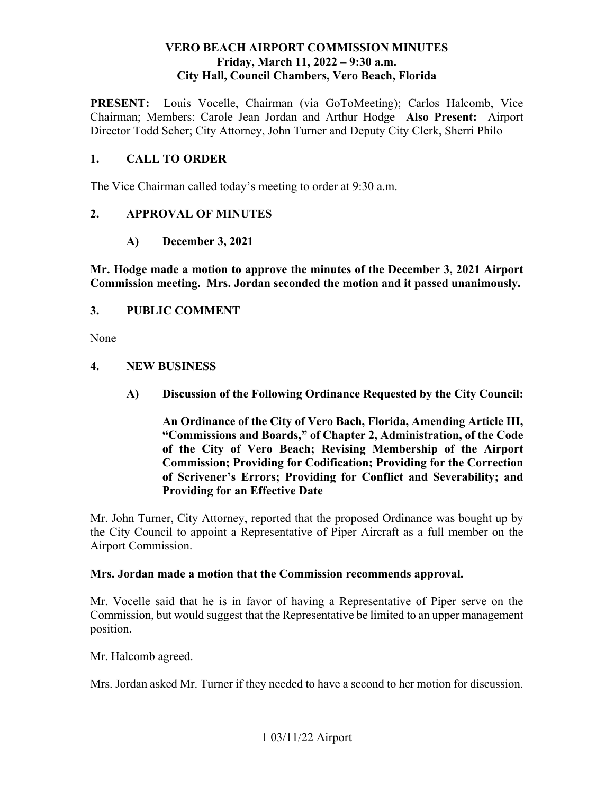### **VERO BEACH AIRPORT COMMISSION MINUTES Friday, March 11, 2022 – 9:30 a.m. City Hall, Council Chambers, Vero Beach, Florida**

PRESENT: Louis Vocelle, Chairman (via GoToMeeting); Carlos Halcomb, Vice  Chairman; Members: Carole Jean Jordan and Arthur Hodge **Also Present:** Airport Director Todd Scher; City Attorney, John Turner and Deputy City Clerk, Sherri Philo

### **1. CALL TO ORDER**

The Vice Chairman called today's meeting to order at 9:30 a.m.

### **2. APPROVAL OF MINUTES**

**A) December 3, 2021** 

 **Mr. Hodge made a motion to approve the minutes of the December 3, 2021 Airport Commission meeting. Mrs. Jordan seconded the motion and it passed unanimously.** 

### **3. PUBLIC COMMENT**

None

### **4. NEW BUSINESS**

**A) Discussion of the Following Ordinance Requested by the City Council:** 

 **of the City of Vero Beach; Revising Membership of the Airport An Ordinance of the City of Vero Bach, Florida, Amending Article III, "Commissions and Boards," of Chapter 2, Administration, of the Code Commission; Providing for Codification; Providing for the Correction of Scrivener's Errors; Providing for Conflict and Severability; and Providing for an Effective Date** 

 the City Council to appoint a Representative of Piper Aircraft as a full member on the Airport Commission. Mr. John Turner, City Attorney, reported that the proposed Ordinance was bought up by

### **Mrs. Jordan made a motion that the Commission recommends approval.**

Mr. Vocelle said that he is in favor of having a Representative of Piper serve on the Commission, but would suggest that the Representative be limited to an upper management position.

Mr. Halcomb agreed.

Mrs. Jordan asked Mr. Turner if they needed to have a second to her motion for discussion.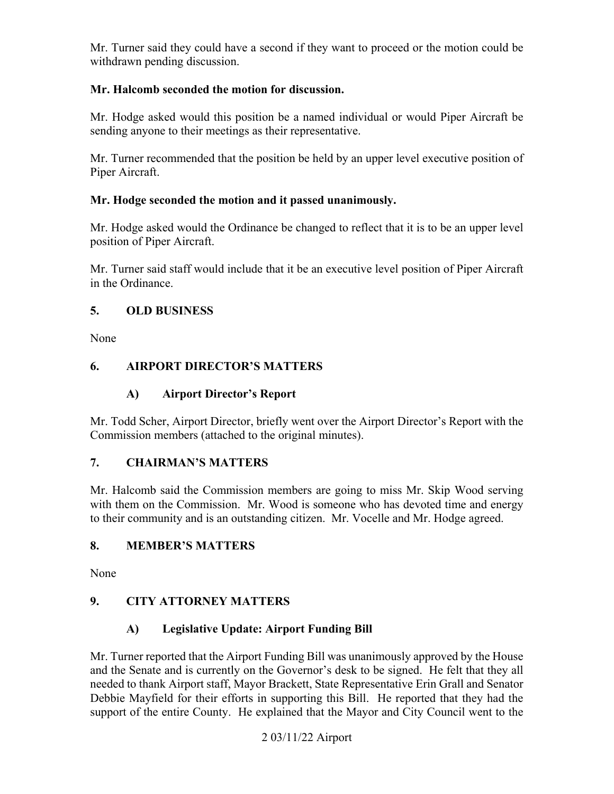Mr. Turner said they could have a second if they want to proceed or the motion could be withdrawn pending discussion.

## **Mr. Halcomb seconded the motion for discussion.**

Mr. Hodge asked would this position be a named individual or would Piper Aircraft be sending anyone to their meetings as their representative.

Mr. Turner recommended that the position be held by an upper level executive position of Piper Aircraft.

## **Mr. Hodge seconded the motion and it passed unanimously.**

 Mr. Hodge asked would the Ordinance be changed to reflect that it is to be an upper level position of Piper Aircraft.

 Mr. Turner said staff would include that it be an executive level position of Piper Aircraft in the Ordinance.

### **5. OLD BUSINESS**

None

# **6. AIRPORT DIRECTOR'S MATTERS**

## **A) Airport Director's Report**

Mr. Todd Scher, Airport Director, briefly went over the Airport Director's Report with the Commission members (attached to the original minutes).

### **7. CHAIRMAN'S MATTERS**

 Mr. Halcomb said the Commission members are going to miss Mr. Skip Wood serving with them on the Commission. Mr. Wood is someone who has devoted time and energy to their community and is an outstanding citizen. Mr. Vocelle and Mr. Hodge agreed.

# **8. MEMBER'S MATTERS**

None

# **9. CITY ATTORNEY MATTERS**

# **A) Legislative Update: Airport Funding Bill**

 and the Senate and is currently on the Governor's desk to be signed. He felt that they all Mr. Turner reported that the Airport Funding Bill was unanimously approved by the House needed to thank Airport staff, Mayor Brackett, State Representative Erin Grall and Senator Debbie Mayfield for their efforts in supporting this Bill. He reported that they had the support of the entire County. He explained that the Mayor and City Council went to the

### 2 03/11/22 Airport